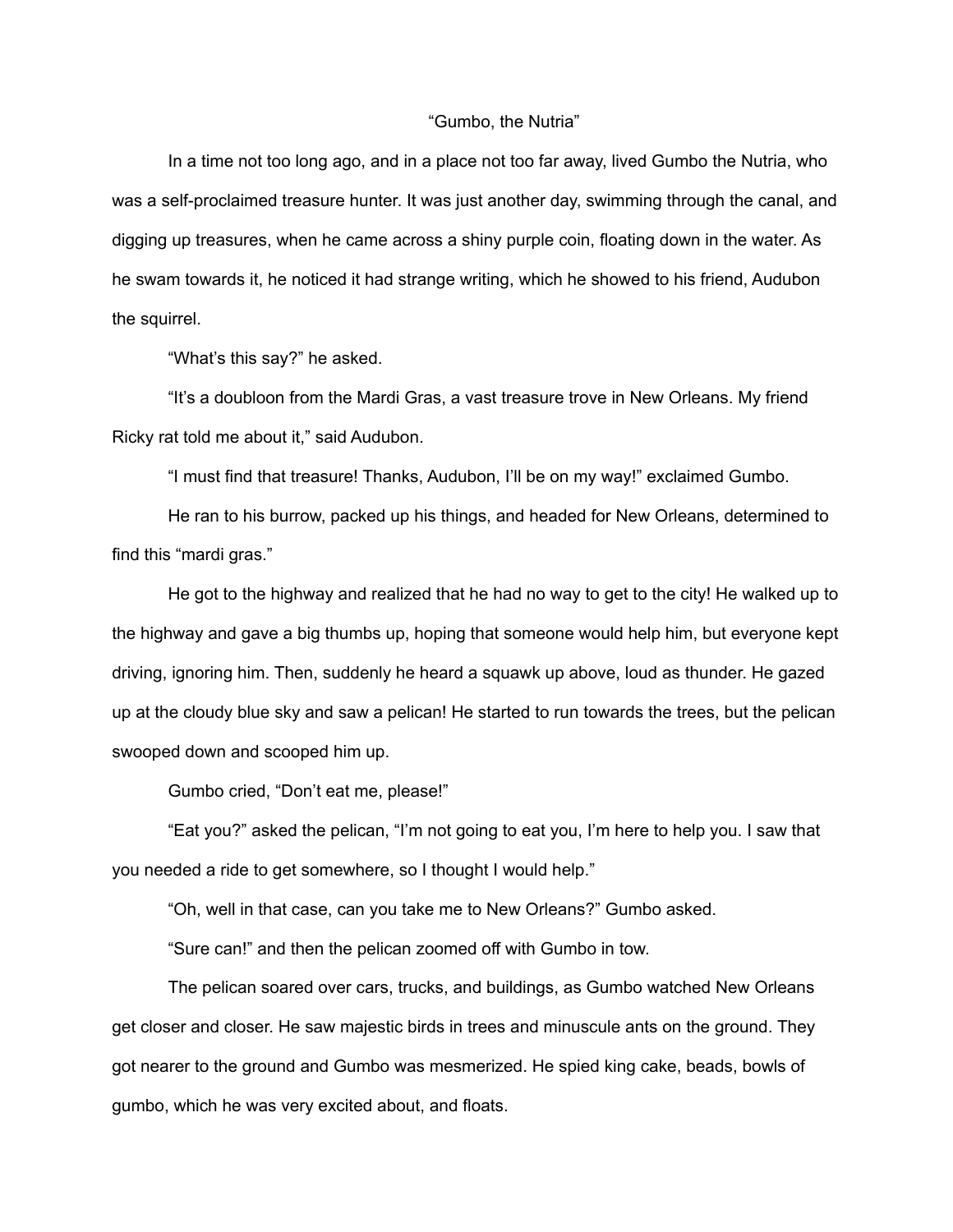## "Gumbo, the Nutria"

In a time not too long ago, and in a place not too far away, lived Gumbo the Nutria, who was a self-proclaimed treasure hunter. It was just another day, swimming through the canal, and digging up treasures, when he came across a shiny purple coin, floating down in the water. As he swam towards it, he noticed it had strange writing, which he showed to his friend, Audubon the squirrel.

"What's this say?" he asked.

"It's a doubloon from the Mardi Gras, a vast treasure trove in New Orleans. My friend Ricky rat told me about it," said Audubon.

"I must find that treasure! Thanks, Audubon, I'll be on my way!" exclaimed Gumbo.

He ran to his burrow, packed up his things, and headed for New Orleans, determined to find this "mardi gras."

He got to the highway and realized that he had no way to get to the city! He walked up to the highway and gave a big thumbs up, hoping that someone would help him, but everyone kept driving, ignoring him. Then, suddenly he heard a squawk up above, loud as thunder. He gazed up at the cloudy blue sky and saw a pelican! He started to run towards the trees, but the pelican swooped down and scooped him up.

Gumbo cried, "Don't eat me, please!"

"Eat you?" asked the pelican, "I'm not going to eat you, I'm here to help you. I saw that you needed a ride to get somewhere, so I thought I would help."

"Oh, well in that case, can you take me to New Orleans?" Gumbo asked.

"Sure can!" and then the pelican zoomed off with Gumbo in tow.

The pelican soared over cars, trucks, and buildings, as Gumbo watched New Orleans get closer and closer. He saw majestic birds in trees and minuscule ants on the ground. They got nearer to the ground and Gumbo was mesmerized. He spied king cake, beads, bowls of gumbo, which he was very excited about, and floats.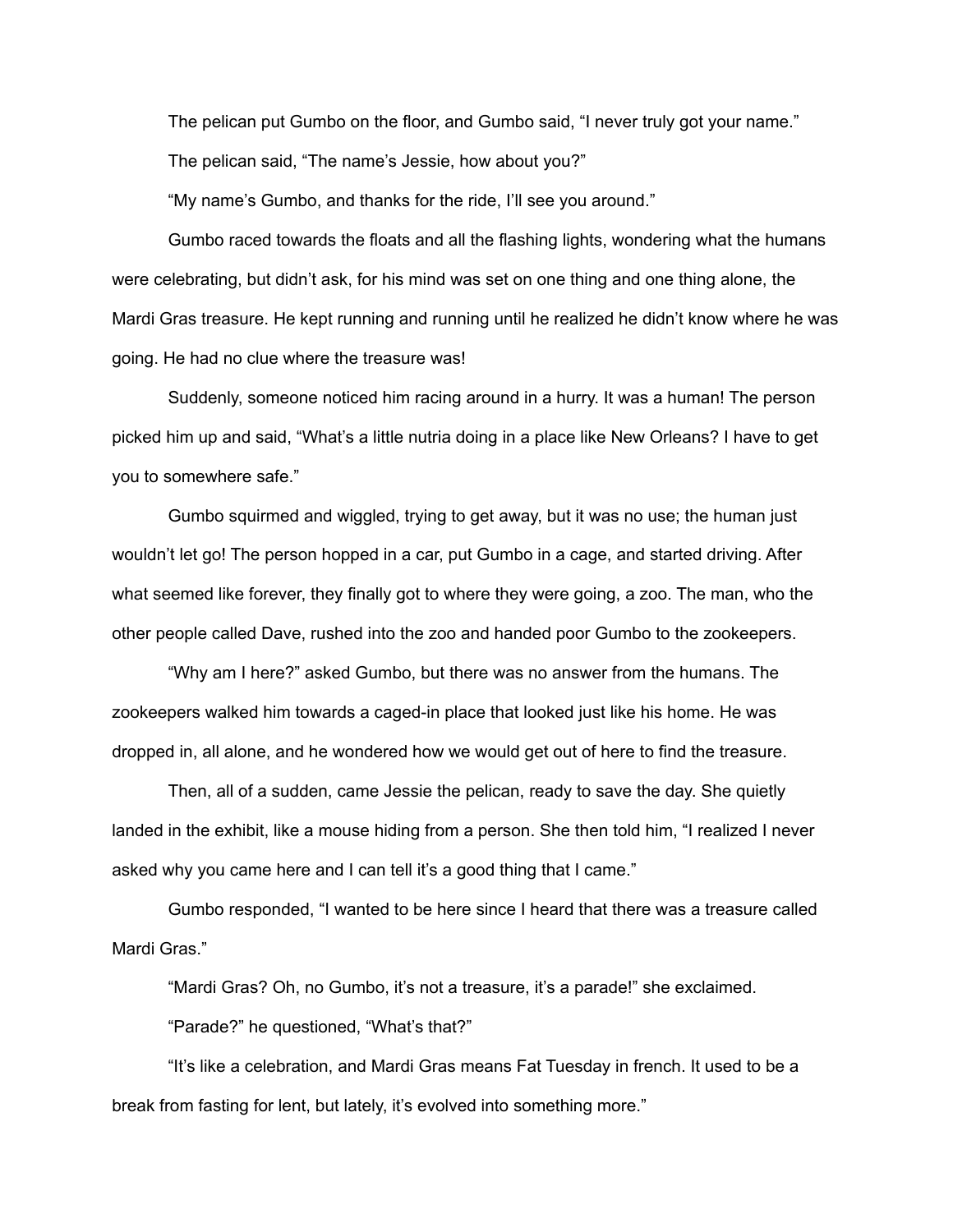The pelican put Gumbo on the floor, and Gumbo said, "I never truly got your name." The pelican said, "The name's Jessie, how about you?"

"My name's Gumbo, and thanks for the ride, I'll see you around."

Gumbo raced towards the floats and all the flashing lights, wondering what the humans were celebrating, but didn't ask, for his mind was set on one thing and one thing alone, the Mardi Gras treasure. He kept running and running until he realized he didn't know where he was going. He had no clue where the treasure was!

Suddenly, someone noticed him racing around in a hurry. It was a human! The person picked him up and said, "What's a little nutria doing in a place like New Orleans? I have to get you to somewhere safe."

Gumbo squirmed and wiggled, trying to get away, but it was no use; the human just wouldn't let go! The person hopped in a car, put Gumbo in a cage, and started driving. After what seemed like forever, they finally got to where they were going, a zoo. The man, who the other people called Dave, rushed into the zoo and handed poor Gumbo to the zookeepers.

"Why am I here?" asked Gumbo, but there was no answer from the humans. The zookeepers walked him towards a caged-in place that looked just like his home. He was dropped in, all alone, and he wondered how we would get out of here to find the treasure.

Then, all of a sudden, came Jessie the pelican, ready to save the day. She quietly landed in the exhibit, like a mouse hiding from a person. She then told him, "I realized I never asked why you came here and I can tell it's a good thing that I came."

Gumbo responded, "I wanted to be here since I heard that there was a treasure called Mardi Gras."

"Mardi Gras? Oh, no Gumbo, it's not a treasure, it's a parade!" she exclaimed.

"Parade?" he questioned, "What's that?"

"It's like a celebration, and Mardi Gras means Fat Tuesday in french. It used to be a break from fasting for lent, but lately, it's evolved into something more."